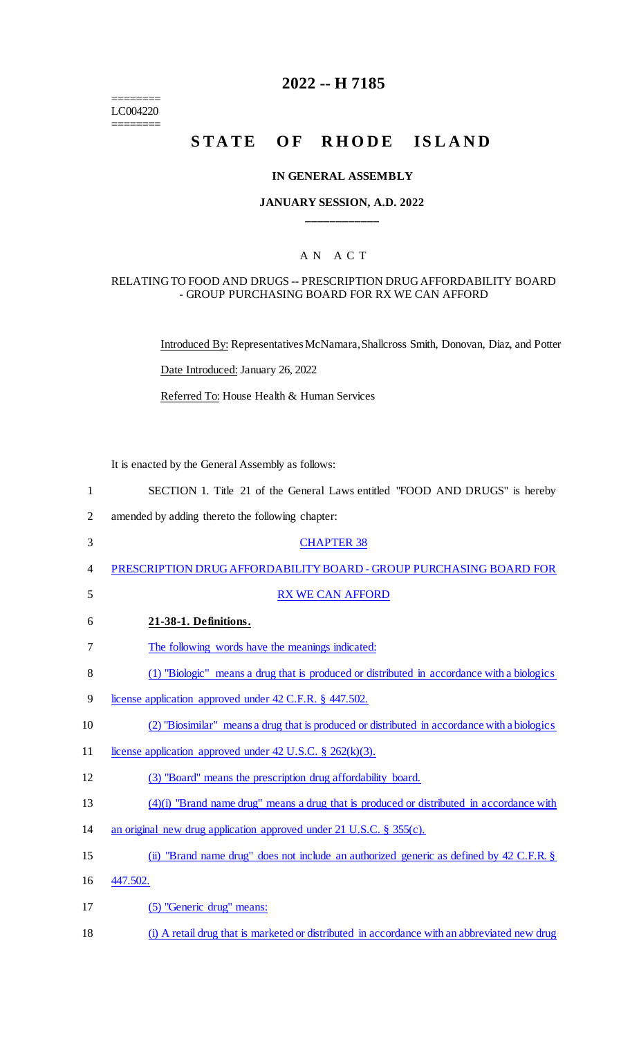$=$ LC004220

 $=$ 

# **2022 -- H 7185**

# **STATE OF RHODE ISLAND**

### **IN GENERAL ASSEMBLY**

## **JANUARY SESSION, A.D. 2022 \_\_\_\_\_\_\_\_\_\_\_\_**

# A N A C T

### RELATING TO FOOD AND DRUGS -- PRESCRIPTION DRUG AFFORDABILITY BOARD - GROUP PURCHASING BOARD FOR RX WE CAN AFFORD

Introduced By: Representatives McNamara, Shallcross Smith, Donovan, Diaz, and Potter

Date Introduced: January 26, 2022

Referred To: House Health & Human Services

It is enacted by the General Assembly as follows:

| $\mathbf{1}$   | SECTION 1. Title 21 of the General Laws entitled "FOOD AND DRUGS" is hereby                  |
|----------------|----------------------------------------------------------------------------------------------|
| $\overline{2}$ | amended by adding thereto the following chapter:                                             |
| 3              | <b>CHAPTER 38</b>                                                                            |
| 4              | PRESCRIPTION DRUG AFFORDABILITY BOARD - GROUP PURCHASING BOARD FOR                           |
| 5              | <b>RX WE CAN AFFORD</b>                                                                      |
| 6              | 21-38-1. Definitions.                                                                        |
| 7              | The following words have the meanings indicated:                                             |
| 8              | (1) "Biologic" means a drug that is produced or distributed in accordance with a biologics   |
| 9              | license application approved under 42 C.F.R. § 447.502.                                      |
| 10             | (2) "Biosimilar" means a drug that is produced or distributed in accordance with a biologics |
| 11             | license application approved under 42 U.S.C. $\S$ 262(k)(3).                                 |
| 12             | (3) "Board" means the prescription drug affordability board.                                 |
| 13             | $(4)(i)$ "Brand name drug" means a drug that is produced or distributed in accordance with   |
| 14             | an original new drug application approved under $21$ U.S.C. § 355(c).                        |
| 15             | (ii) "Brand name drug" does not include an authorized generic as defined by 42 C.F.R. §      |
| 16             | 447.502.                                                                                     |
| 17             | (5) "Generic drug" means:                                                                    |
|                |                                                                                              |

18 (i) A retail drug that is marketed or distributed in accordance with an abbreviated new drug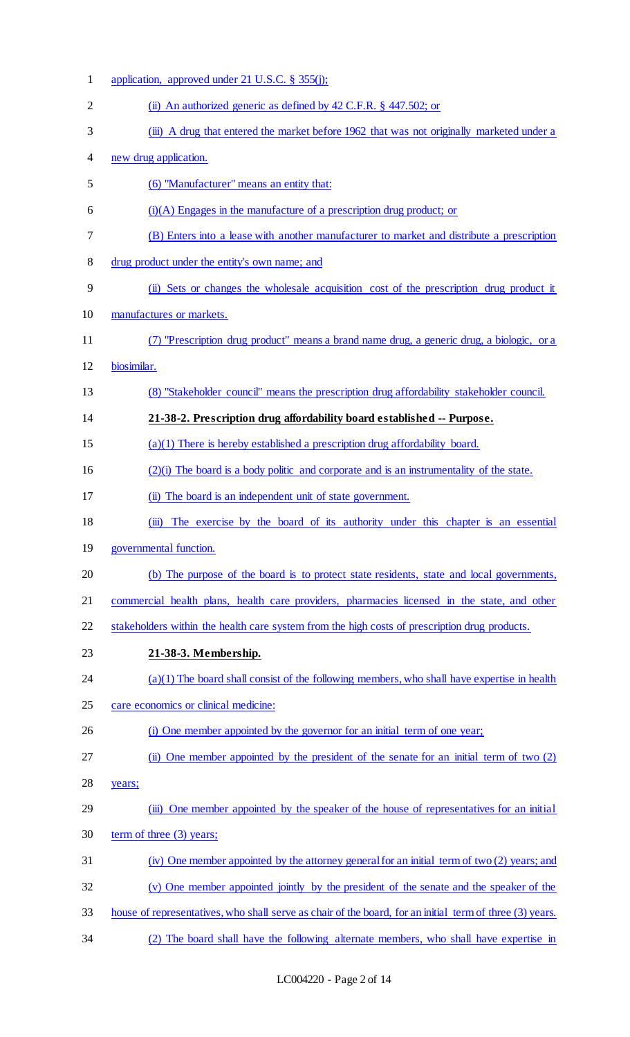| $\mathbf{1}$   | application, approved under 21 U.S.C. $\S$ 355(j);                                                        |
|----------------|-----------------------------------------------------------------------------------------------------------|
| $\overline{2}$ | (ii) An authorized generic as defined by $42$ C.F.R. $\S$ $447.502$ ; or                                  |
| 3              | (iii) A drug that entered the market before 1962 that was not originally marketed under a                 |
| 4              | new drug application.                                                                                     |
| 5              | (6) "Manufacturer" means an entity that:                                                                  |
| 6              | $(i)(A)$ Engages in the manufacture of a prescription drug product; or                                    |
| 7              | (B) Enters into a lease with another manufacturer to market and distribute a prescription                 |
| 8              | drug product under the entity's own name; and                                                             |
| 9              | (ii) Sets or changes the wholesale acquisition cost of the prescription drug product it                   |
| 10             | manufactures or markets.                                                                                  |
| 11             | "Prescription drug product" means a brand name drug, a generic drug, a biologic, or a                     |
| 12             | biosimilar.                                                                                               |
| 13             | (8) "Stakeholder council" means the prescription drug affordability stakeholder council.                  |
| 14             | 21-38-2. Prescription drug affordability board established -- Purpose.                                    |
| 15             | $(a)(1)$ There is hereby established a prescription drug affordability board.                             |
| 16             | $(2)(i)$ The board is a body politic and corporate and is an instrumentality of the state.                |
| 17             | (ii) The board is an independent unit of state government.                                                |
| 18             | The exercise by the board of its authority under this chapter is an essential<br>$\ddot{\mathbf{m}}$      |
| 19             | governmental function.                                                                                    |
| 20             | (b) The purpose of the board is to protect state residents, state and local governments,                  |
| 21             | commercial health plans, health care providers, pharmacies licensed in the state, and other               |
| 22             | stakeholders within the health care system from the high costs of prescription drug products.             |
| 23             | 21-38-3. Membership.                                                                                      |
| 24             | $(a)(1)$ The board shall consist of the following members, who shall have expertise in health             |
| 25             | care economics or clinical medicine:                                                                      |
| 26             | (i) One member appointed by the governor for an initial term of one year;                                 |
| 27             | One member appointed by the president of the senate for an initial term of two (2)<br>$\ddot{\mathbf{u}}$ |
| 28             | years;                                                                                                    |
| 29             | (iii) One member appointed by the speaker of the house of representatives for an initial                  |
| 30             | term of three $(3)$ years;                                                                                |
| 31             | (iv) One member appointed by the attorney general for an initial term of two (2) years; and               |
| 32             | (v) One member appointed jointly by the president of the senate and the speaker of the                    |
| 33             | house of representatives, who shall serve as chair of the board, for an initial term of three (3) years.  |
| 34             | (2) The board shall have the following alternate members, who shall have expertise in                     |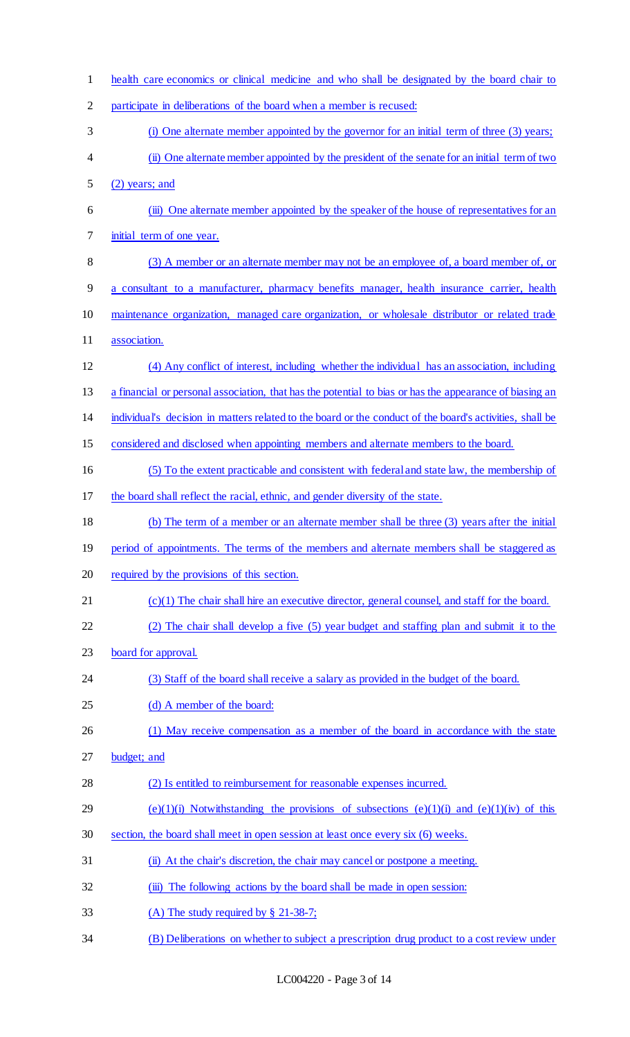| $\mathbf{1}$ | health care economics or clinical medicine and who shall be designated by the board chair to             |
|--------------|----------------------------------------------------------------------------------------------------------|
| 2            | participate in deliberations of the board when a member is recused:                                      |
| 3            | (i) One alternate member appointed by the governor for an initial term of three (3) years;               |
| 4            | (ii) One alternate member appointed by the president of the senate for an initial term of two            |
| 5            | $(2)$ years; and                                                                                         |
| 6            | (iii) One alternate member appointed by the speaker of the house of representatives for an               |
| 7            | initial term of one year.                                                                                |
| 8            | (3) A member or an alternate member may not be an employee of, a board member of, or                     |
| 9            | a consultant to a manufacturer, pharmacy benefits manager, health insurance carrier, health              |
| 10           | maintenance organization, managed care organization, or wholesale distributor or related trade           |
| 11           | association.                                                                                             |
| 12           | (4) Any conflict of interest, including whether the individual has an association, including             |
| 13           | a financial or personal association, that has the potential to bias or has the appearance of biasing an  |
| 14           | individual's decision in matters related to the board or the conduct of the board's activities, shall be |
| 15           | considered and disclosed when appointing members and alternate members to the board.                     |
| 16           | (5) To the extent practicable and consistent with federal and state law, the membership of               |
| 17           | the board shall reflect the racial, ethnic, and gender diversity of the state.                           |
| 18           | (b) The term of a member or an alternate member shall be three (3) years after the initial               |
| 19           | period of appointments. The terms of the members and alternate members shall be staggered as             |
| 20           | required by the provisions of this section.                                                              |
| 21           | $(c)(1)$ The chair shall hire an executive director, general counsel, and staff for the board.           |
| 22           | (2) The chair shall develop a five (5) year budget and staffing plan and submit it to the                |
| 23           | board for approval.                                                                                      |
| 24           | (3) Staff of the board shall receive a salary as provided in the budget of the board.                    |
| 25           | (d) A member of the board:                                                                               |
| 26           | (1) May receive compensation as a member of the board in accordance with the state                       |
| 27           | budget; and                                                                                              |
| 28           | (2) Is entitled to reimbursement for reasonable expenses incurred.                                       |
| 29           | $(e)(1)(i)$ Notwithstanding the provisions of subsections $(e)(1)(i)$ and $(e)(1)(iv)$ of this           |
| 30           | section, the board shall meet in open session at least once every six (6) weeks.                         |
| 31           | (ii) At the chair's discretion, the chair may cancel or postpone a meeting.                              |
| 32           | (iii) The following actions by the board shall be made in open session:                                  |
| 33           | (A) The study required by $\S$ 21-38-7;                                                                  |
| 34           | (B) Deliberations on whether to subject a prescription drug product to a cost review under               |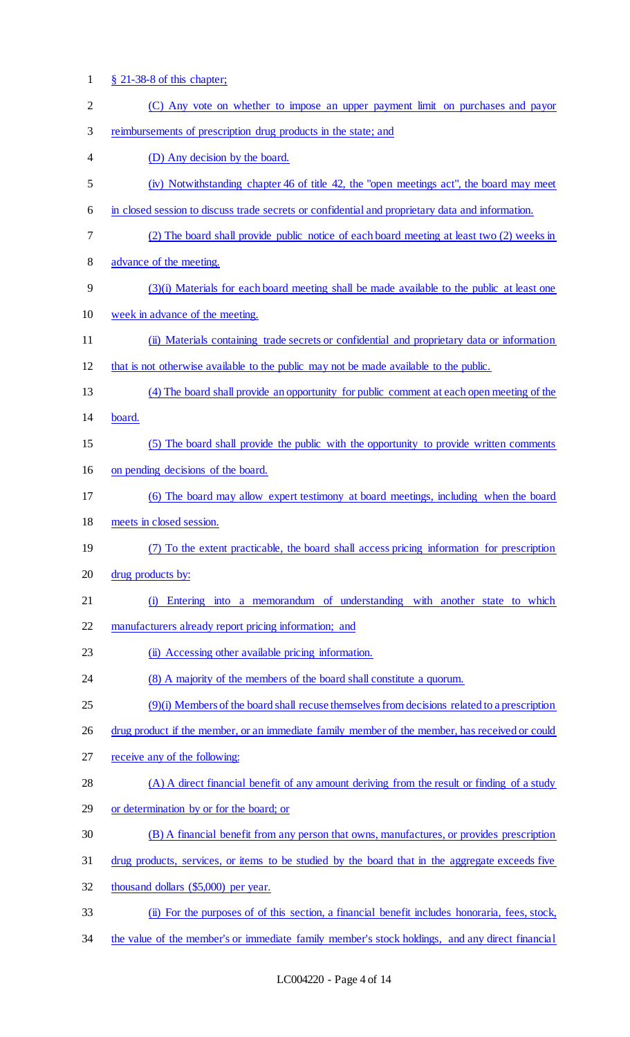- § 21-38-8 of this chapter; (C) Any vote on whether to impose an upper payment limit on purchases and payor reimbursements of prescription drug products in the state; and (D) Any decision by the board. (iv) Notwithstanding chapter 46 of title 42, the "open meetings act", the board may meet in closed session to discuss trade secrets or confidential and proprietary data and information. (2) The board shall provide public notice of each board meeting at least two (2) weeks in advance of the meeting. (3)(i) Materials for each board meeting shall be made available to the public at least one week in advance of the meeting. (ii) Materials containing trade secrets or confidential and proprietary data or information that is not otherwise available to the public may not be made available to the public. (4) The board shall provide an opportunity for public comment at each open meeting of the board. (5) The board shall provide the public with the opportunity to provide written comments on pending decisions of the board. (6) The board may allow expert testimony at board meetings, including when the board meets in closed session. (7) To the extent practicable, the board shall access pricing information for prescription drug products by: (i) Entering into a memorandum of understanding with another state to which manufacturers already report pricing information; and 23 (ii) Accessing other available pricing information. 24 (8) A majority of the members of the board shall constitute a quorum. (9)(i) Members of the board shall recuse themselves from decisions related to a prescription 26 drug product if the member, or an immediate family member of the member, has received or could receive any of the following: (A) A direct financial benefit of any amount deriving from the result or finding of a study or determination by or for the board; or (B) A financial benefit from any person that owns, manufactures, or provides prescription drug products, services, or items to be studied by the board that in the aggregate exceeds five 32 thousand dollars (\$5,000) per year. (ii) For the purposes of of this section, a financial benefit includes honoraria, fees, stock,
- the value of the member's or immediate family member's stock holdings, and any direct financial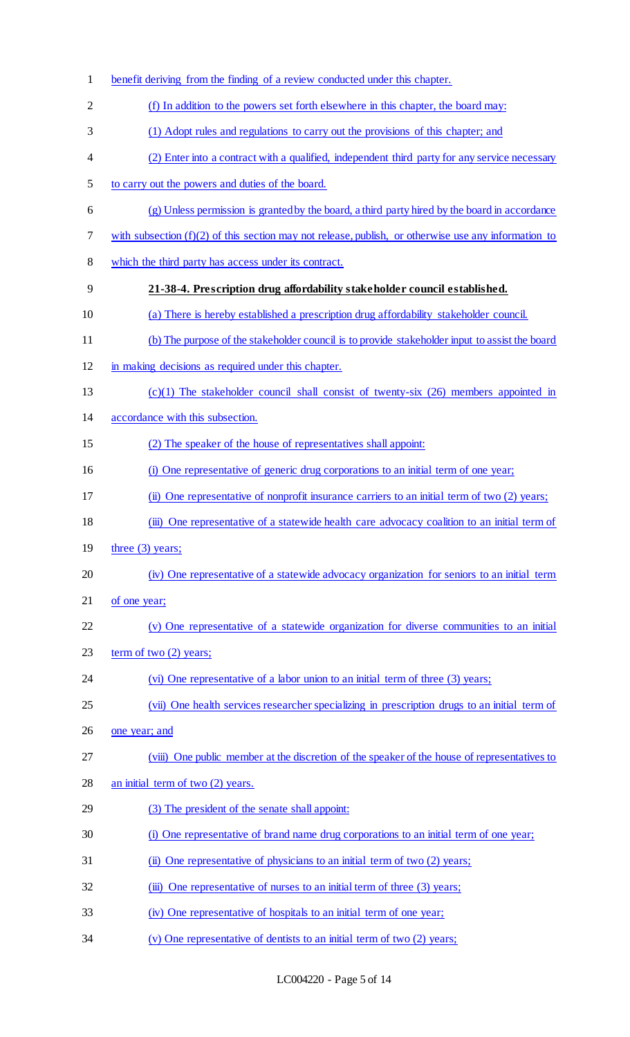| $\mathbf{1}$   | benefit deriving from the finding of a review conducted under this chapter.                            |
|----------------|--------------------------------------------------------------------------------------------------------|
| $\overline{2}$ | (f) In addition to the powers set forth elsewhere in this chapter, the board may:                      |
| 3              | (1) Adopt rules and regulations to carry out the provisions of this chapter; and                       |
| 4              | (2) Enter into a contract with a qualified, independent third party for any service necessary          |
| 5              | to carry out the powers and duties of the board.                                                       |
| 6              | (g) Unless permission is granted by the board, a third party hired by the board in accordance          |
| 7              | with subsection $(f)(2)$ of this section may not release, publish, or otherwise use any information to |
| 8              | which the third party has access under its contract.                                                   |
| 9              | 21-38-4. Prescription drug affordability stakeholder council established.                              |
| 10             | (a) There is hereby established a prescription drug affordability stakeholder council.                 |
| 11             | (b) The purpose of the stakeholder council is to provide stakeholder input to assist the board         |
| 12             | in making decisions as required under this chapter.                                                    |
| 13             | $(c)(1)$ The stakeholder council shall consist of twenty-six (26) members appointed in                 |
| 14             | accordance with this subsection.                                                                       |
| 15             | (2) The speaker of the house of representatives shall appoint:                                         |
| 16             | (i) One representative of generic drug corporations to an initial term of one year;                    |
| 17             | (ii) One representative of nonprofit insurance carriers to an initial term of two (2) years;           |
| 18             | (iii) One representative of a statewide health care advocacy coalition to an initial term of           |
| 19             | three $(3)$ years;                                                                                     |
| 20             | (iv) One representative of a statewide advocacy organization for seniors to an initial term            |
| 21             | of one year;                                                                                           |
| 22             | (v) One representative of a statewide organization for diverse communities to an initial               |
| 23             | term of two $(2)$ years;                                                                               |
| 24             | (vi) One representative of a labor union to an initial term of three (3) years;                        |
| 25             | (vii) One health services researcher specializing in prescription drugs to an initial term of          |
| 26             | one year; and                                                                                          |
| 27             | (viii) One public member at the discretion of the speaker of the house of representatives to           |
| 28             | an initial term of two (2) years.                                                                      |
| 29             | (3) The president of the senate shall appoint:                                                         |
| 30             | (i) One representative of brand name drug corporations to an initial term of one year;                 |
| 31             | (ii) One representative of physicians to an initial term of two (2) years;                             |
| 32             | (iii) One representative of nurses to an initial term of three (3) years;                              |
| 33             | (iv) One representative of hospitals to an initial term of one year;                                   |
| 34             | (v) One representative of dentists to an initial term of two (2) years;                                |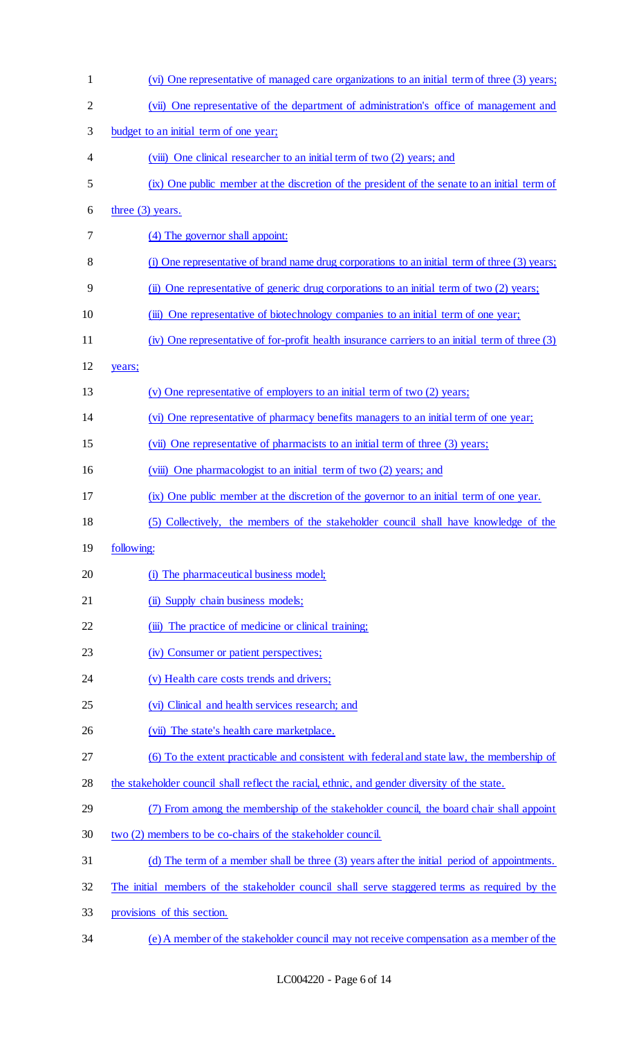| $\mathbf{1}$   | (vi) One representative of managed care organizations to an initial term of three (3) years;    |
|----------------|-------------------------------------------------------------------------------------------------|
| $\overline{c}$ | (vii) One representative of the department of administration's office of management and         |
| 3              | budget to an initial term of one year;                                                          |
| 4              | (viii) One clinical researcher to an initial term of two (2) years; and                         |
| 5              | (ix) One public member at the discretion of the president of the senate to an initial term of   |
| 6              | three $(3)$ years.                                                                              |
| 7              | (4) The governor shall appoint:                                                                 |
| 8              | (i) One representative of brand name drug corporations to an initial term of three (3) years;   |
| 9              | (ii) One representative of generic drug corporations to an initial term of two (2) years;       |
| 10             | (iii) One representative of biotechnology companies to an initial term of one year;             |
| 11             | (iv) One representative of for-profit health insurance carriers to an initial term of three (3) |
| 12             | years;                                                                                          |
| 13             | (v) One representative of employers to an initial term of two (2) years;                        |
| 14             | (vi) One representative of pharmacy benefits managers to an initial term of one year;           |
| 15             | (vii) One representative of pharmacists to an initial term of three (3) years;                  |
| 16             | (viii) One pharmacologist to an initial term of two (2) years; and                              |
| 17             | (ix) One public member at the discretion of the governor to an initial term of one year.        |
| 18             | (5) Collectively, the members of the stakeholder council shall have knowledge of the            |
| 19             | following:                                                                                      |
| 20             | (i) The pharmaceutical business model;                                                          |
| 21             | (ii) Supply chain business models;                                                              |
| 22             | (iii) The practice of medicine or clinical training;                                            |
| 23             | (iv) Consumer or patient perspectives;                                                          |
| 24             | (v) Health care costs trends and drivers;                                                       |
| 25             | (vi) Clinical and health services research; and                                                 |
| 26             | (vii) The state's health care marketplace.                                                      |
| 27             | (6) To the extent practicable and consistent with federal and state law, the membership of      |
| 28             | the stakeholder council shall reflect the racial, ethnic, and gender diversity of the state.    |
| 29             | (7) From among the membership of the stakeholder council, the board chair shall appoint         |
| 30             | two (2) members to be co-chairs of the stakeholder council.                                     |
| 31             | (d) The term of a member shall be three (3) years after the initial period of appointments.     |
| 32             | The initial members of the stakeholder council shall serve staggered terms as required by the   |
| 33             | provisions of this section.                                                                     |
| 34             | (e) A member of the stakeholder council may not receive compensation as a member of the         |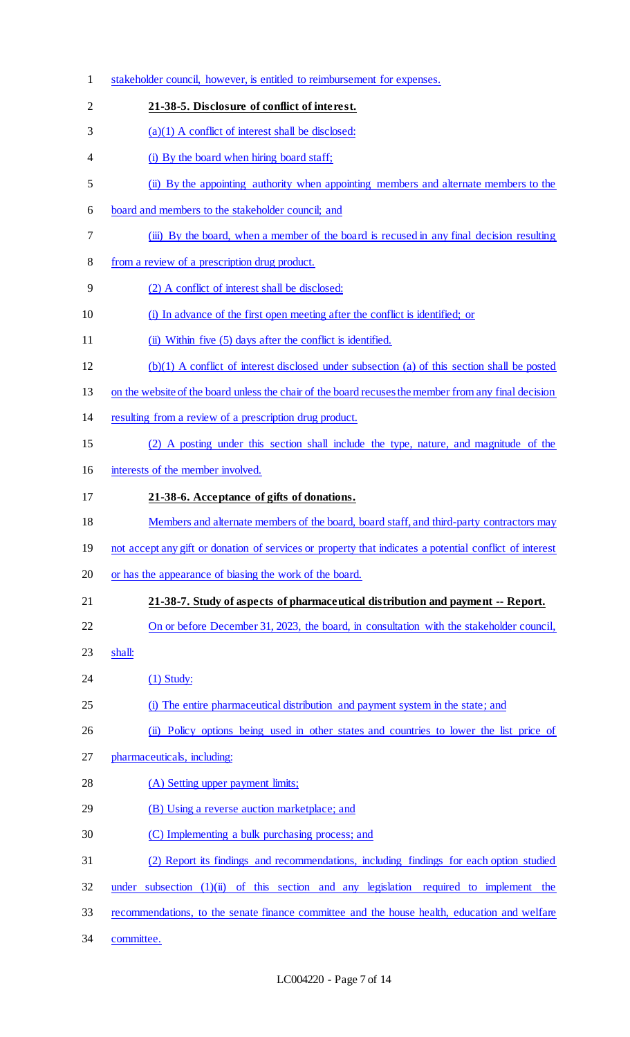| $\mathbf{1}$   | stakeholder council, however, is entitled to reimbursement for expenses.                                |
|----------------|---------------------------------------------------------------------------------------------------------|
| $\overline{2}$ | 21-38-5. Disclosure of conflict of interest.                                                            |
| 3              | $(a)(1)$ A conflict of interest shall be disclosed:                                                     |
| 4              | (i) By the board when hiring board staff;                                                               |
| 5              | (ii) By the appointing authority when appointing members and alternate members to the                   |
| 6              | board and members to the stakeholder council; and                                                       |
| 7              | (iii) By the board, when a member of the board is recused in any final decision resulting               |
| 8              | from a review of a prescription drug product.                                                           |
| 9              | (2) A conflict of interest shall be disclosed:                                                          |
| 10             | (i) In advance of the first open meeting after the conflict is identified; or                           |
| 11             | (ii) Within five (5) days after the conflict is identified.                                             |
| 12             | (b)(1) A conflict of interest disclosed under subsection (a) of this section shall be posted            |
| 13             | on the website of the board unless the chair of the board recuses the member from any final decision    |
| 14             | resulting from a review of a prescription drug product.                                                 |
| 15             | (2) A posting under this section shall include the type, nature, and magnitude of the                   |
| 16             | interests of the member involved.                                                                       |
| 17             | 21-38-6. Acceptance of gifts of donations.                                                              |
| 18             | Members and alternate members of the board, board staff, and third-party contractors may                |
| 19             | not accept any gift or donation of services or property that indicates a potential conflict of interest |
| 20             | or has the appearance of biasing the work of the board.                                                 |
| 21             | 21-38-7. Study of aspects of pharmaceutical distribution and payment -- Report.                         |
| 22             | On or before December 31, 2023, the board, in consultation with the stakeholder council,                |
| 23             | shall:                                                                                                  |
| 24             | $(1)$ Study:                                                                                            |
| 25             | (i) The entire pharmaceutical distribution and payment system in the state; and                         |
| 26             | (ii) Policy options being used in other states and countries to lower the list price of                 |
| 27             | pharmaceuticals, including:                                                                             |
| 28             | (A) Setting upper payment limits;                                                                       |
| 29             | (B) Using a reverse auction marketplace; and                                                            |
| 30             | (C) Implementing a bulk purchasing process; and                                                         |
| 31             | (2) Report its findings and recommendations, including findings for each option studied                 |
| 32             | under subsection $(1)(ii)$ of this section and any legislation required to implement the                |
| 33             | recommendations, to the senate finance committee and the house health, education and welfare            |
| 34             | committee.                                                                                              |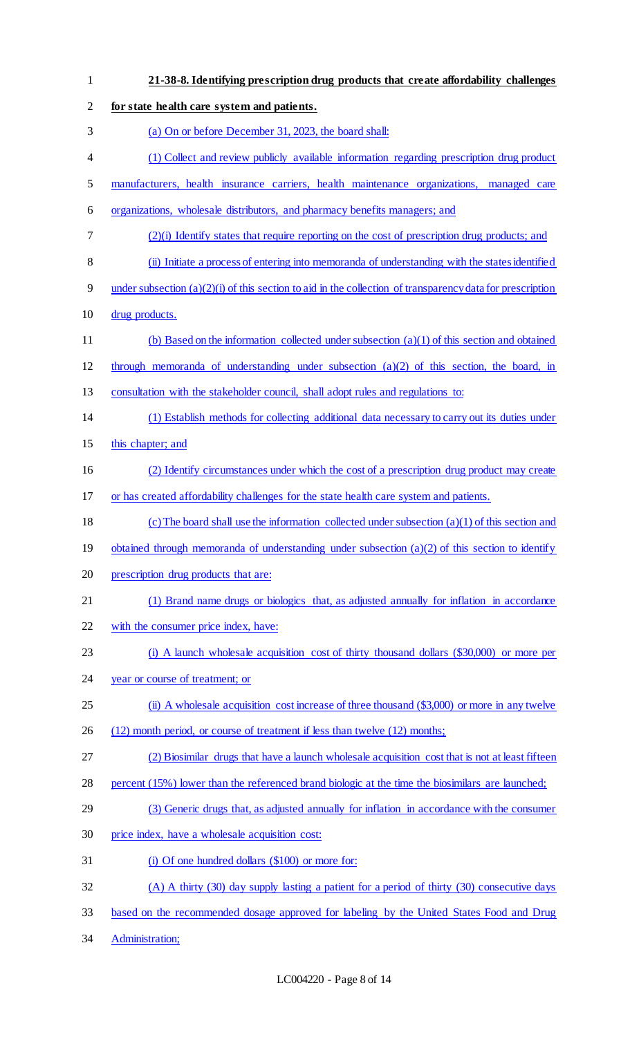| $\mathbf{1}$   | 21-38-8. Identifying prescription drug products that create affordability challenges                        |
|----------------|-------------------------------------------------------------------------------------------------------------|
| $\overline{c}$ | for state health care system and patients.                                                                  |
| 3              | (a) On or before December 31, 2023, the board shall:                                                        |
| 4              | (1) Collect and review publicly available information regarding prescription drug product                   |
| 5              | manufacturers, health insurance carriers, health maintenance organizations, managed care                    |
| 6              | organizations, wholesale distributors, and pharmacy benefits managers; and                                  |
| 7              | $(2)(i)$ Identify states that require reporting on the cost of prescription drug products; and              |
| $8\,$          | (ii) Initiate a process of entering into memoranda of understanding with the states identified              |
| 9              | under subsection $(a)(2)(i)$ of this section to aid in the collection of transparency data for prescription |
| 10             | drug products.                                                                                              |
| 11             | (b) Based on the information collected under subsection $(a)(1)$ of this section and obtained               |
| 12             | through memoranda of understanding under subsection $(a)(2)$ of this section, the board, in                 |
| 13             | consultation with the stakeholder council, shall adopt rules and regulations to:                            |
| 14             | (1) Establish methods for collecting additional data necessary to carry out its duties under                |
| 15             | this chapter; and                                                                                           |
| 16             | (2) Identify circumstances under which the cost of a prescription drug product may create                   |
| 17             | or has created affordability challenges for the state health care system and patients.                      |
| 18             | (c) The board shall use the information collected under subsection $(a)(1)$ of this section and             |
| 19             | obtained through memoranda of understanding under subsection $(a)(2)$ of this section to identify           |
| 20             | prescription drug products that are:                                                                        |
| 21             | (1) Brand name drugs or biologics that, as adjusted annually for inflation in accordance                    |
| 22             | with the consumer price index, have:                                                                        |
| 23             | (i) A launch wholesale acquisition cost of thirty thousand dollars (\$30,000) or more per                   |
| 24             | year or course of treatment; or                                                                             |
| 25             | (ii) A wholesale acquisition cost increase of three thousand (\$3,000) or more in any twelve                |
| 26             | (12) month period, or course of treatment if less than twelve (12) months;                                  |
| 27             | (2) Biosimilar drugs that have a launch wholesale acquisition cost that is not at least fifteen             |
| 28             | percent (15%) lower than the referenced brand biologic at the time the biosimilars are launched;            |
| 29             | (3) Generic drugs that, as adjusted annually for inflation in accordance with the consumer                  |
| 30             | price index, have a wholesale acquisition cost:                                                             |
| 31             | (i) Of one hundred dollars (\$100) or more for:                                                             |
| 32             | (A) A thirty (30) day supply lasting a patient for a period of thirty (30) consecutive days                 |
| 33             | based on the recommended dosage approved for labeling by the United States Food and Drug                    |
| 34             | Administration;                                                                                             |
|                |                                                                                                             |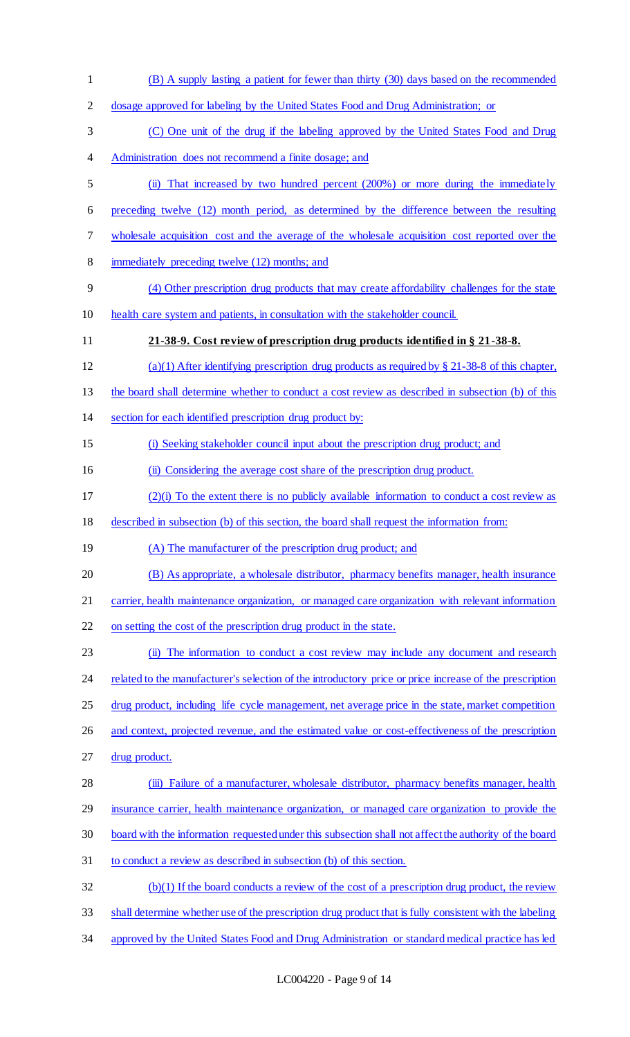| $\mathbf{1}$   | (B) A supply lasting a patient for fewer than thirty (30) days based on the recommended                 |
|----------------|---------------------------------------------------------------------------------------------------------|
| $\overline{2}$ | dosage approved for labeling by the United States Food and Drug Administration; or                      |
| 3              | (C) One unit of the drug if the labeling approved by the United States Food and Drug                    |
| 4              | Administration does not recommend a finite dosage; and                                                  |
| 5              | (ii) That increased by two hundred percent (200%) or more during the immediately                        |
| 6              | preceding twelve (12) month period, as determined by the difference between the resulting               |
| 7              | wholesale acquisition cost and the average of the wholesale acquisition cost reported over the          |
| 8              | immediately preceding twelve (12) months; and                                                           |
| 9              | (4) Other prescription drug products that may create affordability challenges for the state             |
| 10             | health care system and patients, in consultation with the stakeholder council.                          |
| 11             | 21-38-9. Cost review of prescription drug products identified in § 21-38-8.                             |
| 12             | (a)(1) After identifying prescription drug products as required by $\S 21-38-8$ of this chapter,        |
| 13             | the board shall determine whether to conduct a cost review as described in subsection (b) of this       |
| 14             | section for each identified prescription drug product by:                                               |
| 15             | (i) Seeking stakeholder council input about the prescription drug product; and                          |
| 16             | (ii) Considering the average cost share of the prescription drug product.                               |
| 17             | $(2)(i)$ To the extent there is no publicly available information to conduct a cost review as           |
| 18             | described in subsection (b) of this section, the board shall request the information from:              |
| 19             | (A) The manufacturer of the prescription drug product; and                                              |
| 20             | (B) As appropriate, a wholesale distributor, pharmacy benefits manager, health insurance                |
| 21             | carrier, health maintenance organization, or managed care organization with relevant information        |
| 22             | on setting the cost of the prescription drug product in the state.                                      |
| 23             | (ii) The information to conduct a cost review may include any document and research                     |
| 24             | related to the manufacturer's selection of the introductory price or price increase of the prescription |
| 25             | drug product, including life cycle management, net average price in the state, market competition       |
| 26             | and context, projected revenue, and the estimated value or cost-effectiveness of the prescription       |
| 27             | drug product.                                                                                           |
| 28             | (iii) Failure of a manufacturer, wholesale distributor, pharmacy benefits manager, health               |
| 29             | insurance carrier, health maintenance organization, or managed care organization to provide the         |
| 30             | board with the information requested under this subsection shall not affect the authority of the board  |
| 31             | to conduct a review as described in subsection (b) of this section.                                     |
| 32             | (b)(1) If the board conducts a review of the cost of a prescription drug product, the review            |
| 33             | shall determine whether use of the prescription drug product that is fully consistent with the labeling |
| 34             | approved by the United States Food and Drug Administration or standard medical practice has led         |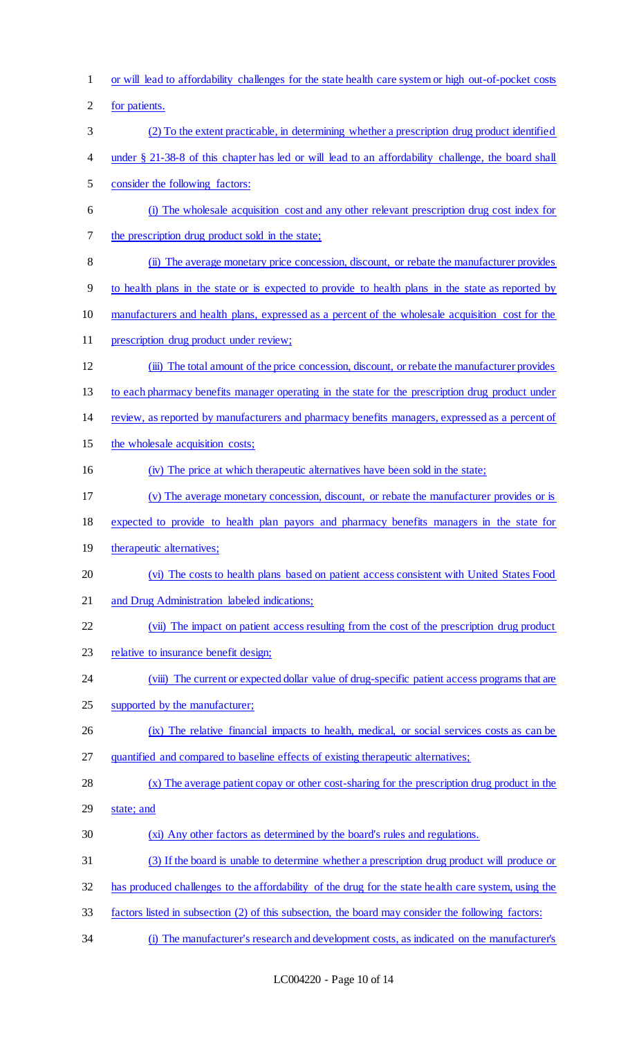or will lead to affordability challenges for the state health care system or high out-of-pocket costs

for patients.

- (2) To the extent practicable, in determining whether a prescription drug product identified
- under § 21-38-8 of this chapter has led or will lead to an affordability challenge, the board shall

consider the following factors:

- (i) The wholesale acquisition cost and any other relevant prescription drug cost index for the prescription drug product sold in the state;
- (ii) The average monetary price concession, discount, or rebate the manufacturer provides
- to health plans in the state or is expected to provide to health plans in the state as reported by
- manufacturers and health plans, expressed as a percent of the wholesale acquisition cost for the
- 11 prescription drug product under review;
- (iii) The total amount of the price concession, discount, or rebate the manufacturer provides
- to each pharmacy benefits manager operating in the state for the prescription drug product under
- review, as reported by manufacturers and pharmacy benefits managers, expressed as a percent of
- 15 the wholesale acquisition costs;
- 16 (iv) The price at which therapeutic alternatives have been sold in the state;
- (v) The average monetary concession, discount, or rebate the manufacturer provides or is
- expected to provide to health plan payors and pharmacy benefits managers in the state for
- 19 therapeutic alternatives;
- (vi) The costs to health plans based on patient access consistent with United States Food
- and Drug Administration labeled indications;
- (vii) The impact on patient access resulting from the cost of the prescription drug product
- relative to insurance benefit design;
- 24 (viii) The current or expected dollar value of drug-specific patient access programs that are
- supported by the manufacturer;
- (ix) The relative financial impacts to health, medical, or social services costs as can be
- quantified and compared to baseline effects of existing therapeutic alternatives;
- (x) The average patient copay or other cost-sharing for the prescription drug product in the
- state; and
- (xi) Any other factors as determined by the board's rules and regulations.
- (3) If the board is unable to determine whether a prescription drug product will produce or
- has produced challenges to the affordability of the drug for the state health care system, using the
- factors listed in subsection (2) of this subsection, the board may consider the following factors:
- (i) The manufacturer's research and development costs, as indicated on the manufacturer's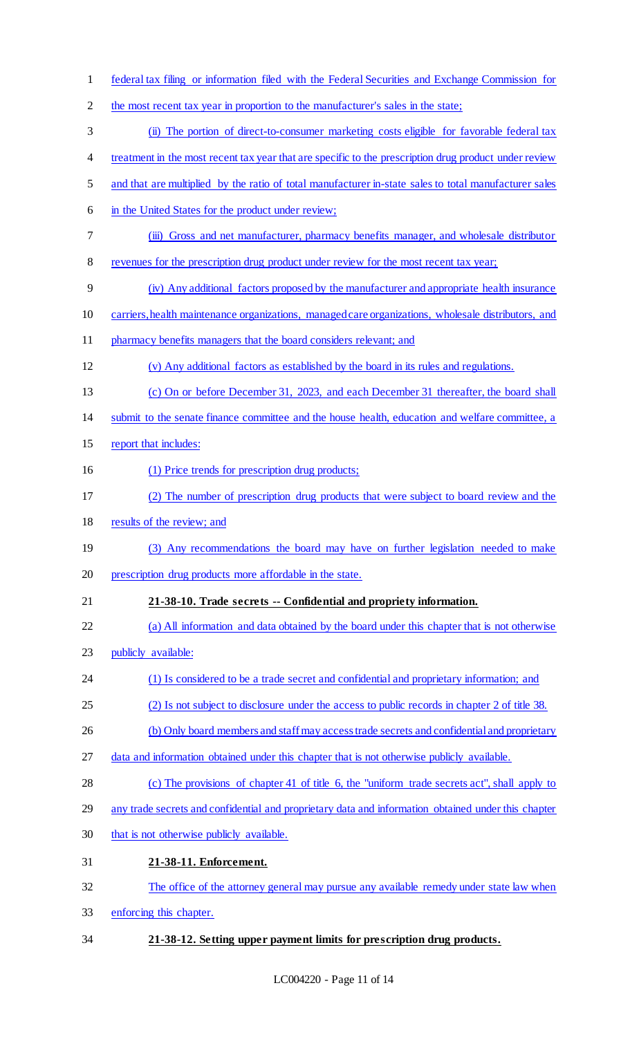- federal tax filing or information filed with the Federal Securities and Exchange Commission for the most recent tax year in proportion to the manufacturer's sales in the state; (ii) The portion of direct-to-consumer marketing costs eligible for favorable federal tax 4 treatment in the most recent tax year that are specific to the prescription drug product under review and that are multiplied by the ratio of total manufacturer in-state sales to total manufacturer sales 6 in the United States for the product under review; (iii) Gross and net manufacturer, pharmacy benefits manager, and wholesale distributor revenues for the prescription drug product under review for the most recent tax year; (iv) Any additional factors proposed by the manufacturer and appropriate health insurance carriers, health maintenance organizations, managed care organizations, wholesale distributors, and pharmacy benefits managers that the board considers relevant; and (v) Any additional factors as established by the board in its rules and regulations. (c) On or before December 31, 2023, and each December 31 thereafter, the board shall submit to the senate finance committee and the house health, education and welfare committee, a report that includes: (1) Price trends for prescription drug products; (2) The number of prescription drug products that were subject to board review and the results of the review; and (3) Any recommendations the board may have on further legislation needed to make prescription drug products more affordable in the state. **21-38-10. Trade secrets -- Confidential and propriety information.**  (a) All information and data obtained by the board under this chapter that is not otherwise 23 publicly available: 24 (1) Is considered to be a trade secret and confidential and proprietary information; and (2) Is not subject to disclosure under the access to public records in chapter 2 of title 38. 26 (b) Only board members and staff may access trade secrets and confidential and proprietary data and information obtained under this chapter that is not otherwise publicly available. (c) The provisions of chapter 41 of title 6, the "uniform trade secrets act", shall apply to any trade secrets and confidential and proprietary data and information obtained under this chapter that is not otherwise publicly available. **21-38-11. Enforcement.**  The office of the attorney general may pursue any available remedy under state law when enforcing this chapter.
- **21-38-12. Setting upper payment limits for prescription drug products.**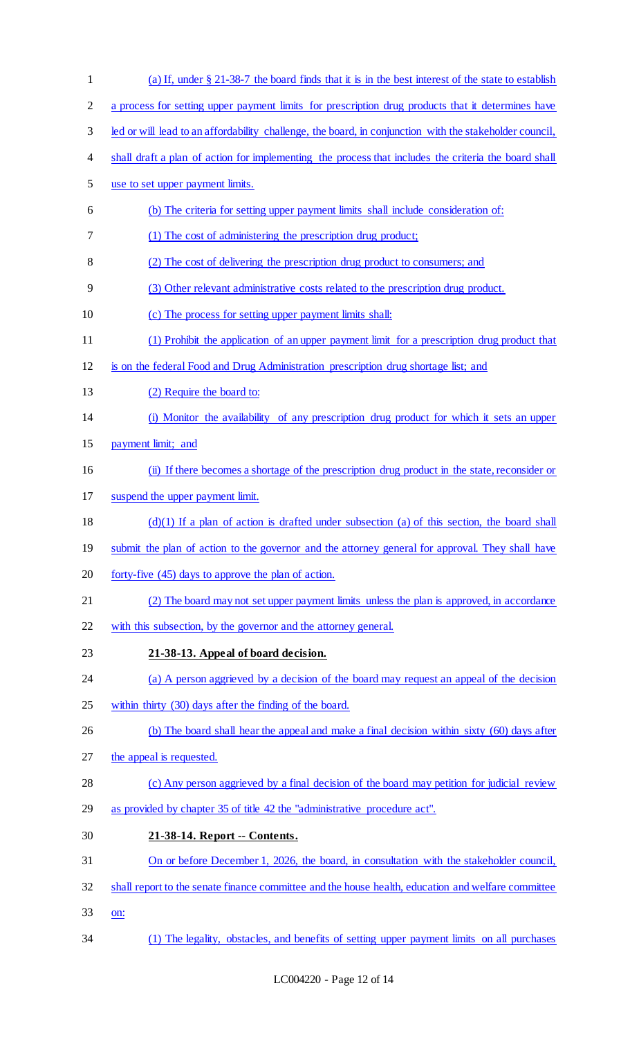| $\mathbf{1}$   | (a) If, under § 21-38-7 the board finds that it is in the best interest of the state to establish       |
|----------------|---------------------------------------------------------------------------------------------------------|
| $\overline{2}$ | a process for setting upper payment limits for prescription drug products that it determines have       |
| 3              | led or will lead to an affordability challenge, the board, in conjunction with the stakeholder council, |
| 4              | shall draft a plan of action for implementing the process that includes the criteria the board shall    |
| 5              | use to set upper payment limits.                                                                        |
| 6              | (b) The criteria for setting upper payment limits shall include consideration of:                       |
| 7              | (1) The cost of administering the prescription drug product;                                            |
| 8              | (2) The cost of delivering the prescription drug product to consumers; and                              |
| 9              | (3) Other relevant administrative costs related to the prescription drug product.                       |
| 10             | (c) The process for setting upper payment limits shall:                                                 |
| 11             | (1) Prohibit the application of an upper payment limit for a prescription drug product that             |
| 12             | is on the federal Food and Drug Administration prescription drug shortage list; and                     |
| 13             | (2) Require the board to:                                                                               |
| 14             | (i) Monitor the availability of any prescription drug product for which it sets an upper                |
| 15             | payment limit; and                                                                                      |
| 16             | (ii) If there becomes a shortage of the prescription drug product in the state, reconsider or           |
| 17             | suspend the upper payment limit.                                                                        |
| 18             | $(d)(1)$ If a plan of action is drafted under subsection (a) of this section, the board shall           |
| 19             | submit the plan of action to the governor and the attorney general for approval. They shall have        |
| 20             | forty-five (45) days to approve the plan of action.                                                     |
| 21             | (2) The board may not set upper payment limits unless the plan is approved, in accordance               |
| 22             | with this subsection, by the governor and the attorney general.                                         |
| 23             | 21-38-13. Appeal of board decision.                                                                     |
| 24             | (a) A person aggrieved by a decision of the board may request an appeal of the decision                 |
| 25             | within thirty (30) days after the finding of the board.                                                 |
| 26             | (b) The board shall hear the appeal and make a final decision within sixty (60) days after              |
| 27             | the appeal is requested.                                                                                |
| 28             | (c) Any person aggrieved by a final decision of the board may petition for judicial review              |
| 29             | as provided by chapter 35 of title 42 the "administrative procedure act".                               |
| 30             | 21-38-14. Report -- Contents.                                                                           |
| 31             | On or before December 1, 2026, the board, in consultation with the stakeholder council,                 |
| 32             | shall report to the senate finance committee and the house health, education and welfare committee      |
| 33             | on:                                                                                                     |
| 34             | (1) The legality, obstacles, and benefits of setting upper payment limits on all purchases              |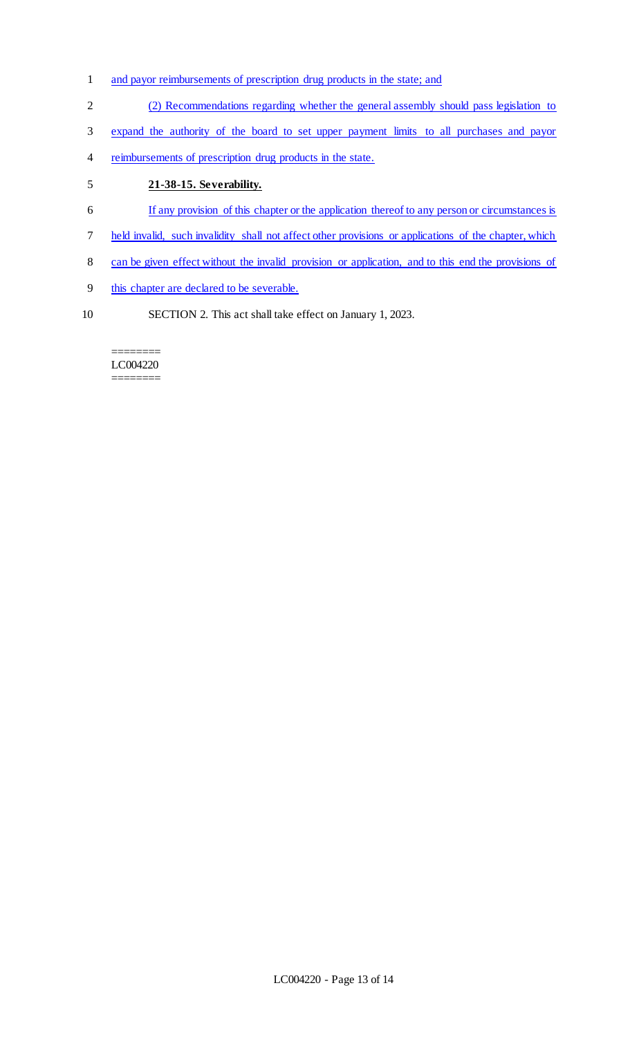- and payor reimbursements of prescription drug products in the state; and
- (2) Recommendations regarding whether the general assembly should pass legislation to
- expand the authority of the board to set upper payment limits to all purchases and payor
- reimbursements of prescription drug products in the state.

# **21-38-15. Severability.**

- If any provision of this chapter or the application thereof to any person or circumstances is
- held invalid, such invalidity shall not affect other provisions or applications of the chapter, which
- can be given effect without the invalid provision or application, and to this end the provisions of
- this chapter are declared to be severable.
- SECTION 2. This act shall take effect on January 1, 2023.

#### ======== LC004220 ========